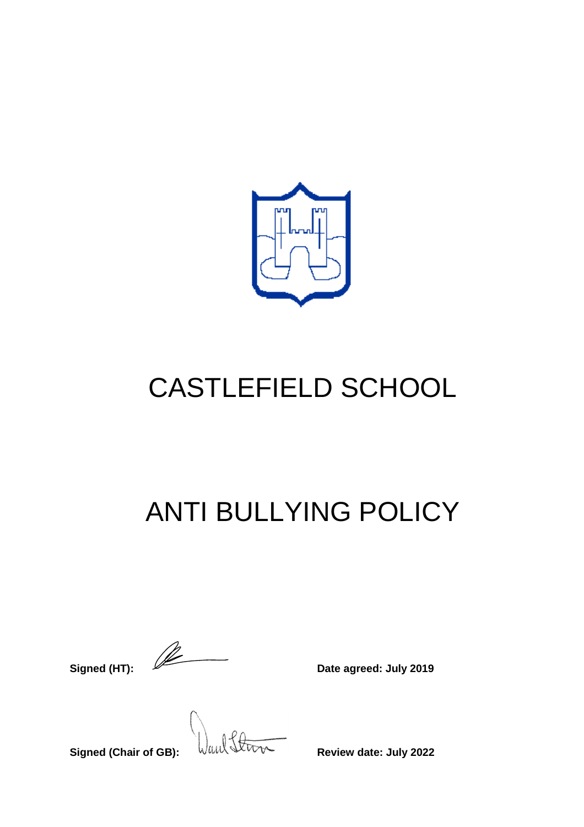

# CASTLEFIELD SCHOOL

## ANTI BULLYING POLICY

**Signed (HT):**  $\sqrt{2\pi}$  Date agreed: July 2019

**Signed (Chair of GB): WELL SUBBANGLEY** Review date: July 2022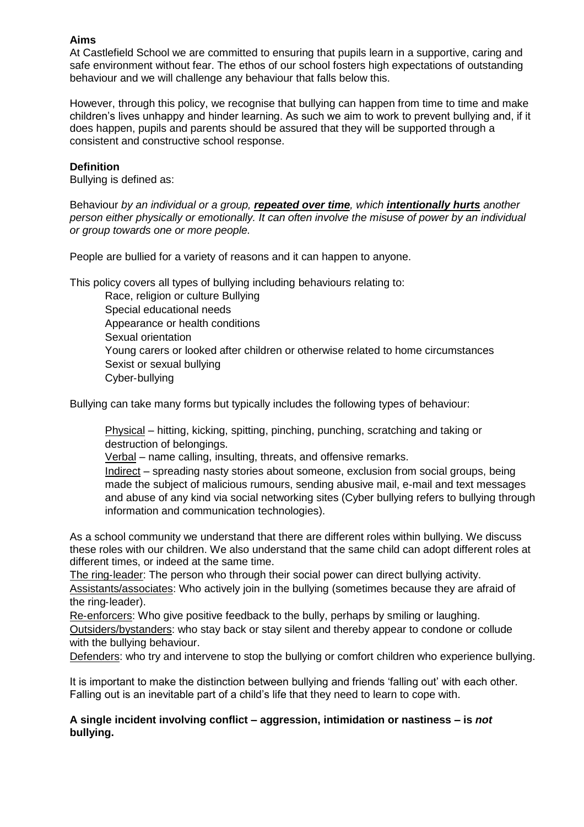## **Aims**

At Castlefield School we are committed to ensuring that pupils learn in a supportive, caring and safe environment without fear. The ethos of our school fosters high expectations of outstanding behaviour and we will challenge any behaviour that falls below this.

However, through this policy, we recognise that bullying can happen from time to time and make children's lives unhappy and hinder learning. As such we aim to work to prevent bullying and, if it does happen, pupils and parents should be assured that they will be supported through a consistent and constructive school response.

## **Definition**

Bullying is defined as:

Behaviour *by an individual or a group, repeated over time, which intentionally hurts another person either physically or emotionally. It can often involve the misuse of power by an individual or group towards one or more people.*

People are bullied for a variety of reasons and it can happen to anyone.

This policy covers all types of bullying including behaviours relating to:

Race, religion or culture Bullying Special educational needs Appearance or health conditions Sexual orientation Young carers or looked after children or otherwise related to home circumstances Sexist or sexual bullying Cyber‐bullying

Bullying can take many forms but typically includes the following types of behaviour:

Physical – hitting, kicking, spitting, pinching, punching, scratching and taking or destruction of belongings.

Verbal – name calling, insulting, threats, and offensive remarks.

Indirect – spreading nasty stories about someone, exclusion from social groups, being made the subject of malicious rumours, sending abusive mail, e-mail and text messages and abuse of any kind via social networking sites (Cyber bullying refers to bullying through information and communication technologies).

As a school community we understand that there are different roles within bullying. We discuss these roles with our children. We also understand that the same child can adopt different roles at different times, or indeed at the same time.

The ring-leader: The person who through their social power can direct bullying activity. Assistants/associates: Who actively join in the bullying (sometimes because they are afraid of the ring‐leader).

Re-enforcers: Who give positive feedback to the bully, perhaps by smiling or laughing. Outsiders/bystanders: who stay back or stay silent and thereby appear to condone or collude with the bullying behaviour.

Defenders: who try and intervene to stop the bullying or comfort children who experience bullying.

It is important to make the distinction between bullying and friends 'falling out' with each other. Falling out is an inevitable part of a child's life that they need to learn to cope with.

## **A single incident involving conflict – aggression, intimidation or nastiness – is** *not* **bullying.**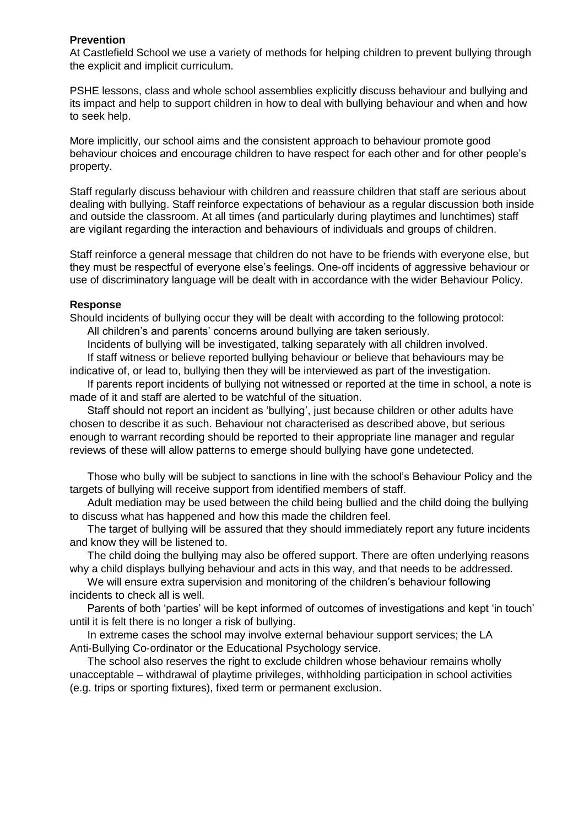#### **Prevention**

At Castlefield School we use a variety of methods for helping children to prevent bullying through the explicit and implicit curriculum.

PSHE lessons, class and whole school assemblies explicitly discuss behaviour and bullying and its impact and help to support children in how to deal with bullying behaviour and when and how to seek help.

More implicitly, our school aims and the consistent approach to behaviour promote good behaviour choices and encourage children to have respect for each other and for other people's property.

Staff regularly discuss behaviour with children and reassure children that staff are serious about dealing with bullying. Staff reinforce expectations of behaviour as a regular discussion both inside and outside the classroom. At all times (and particularly during playtimes and lunchtimes) staff are vigilant regarding the interaction and behaviours of individuals and groups of children.

Staff reinforce a general message that children do not have to be friends with everyone else, but they must be respectful of everyone else's feelings. One‐off incidents of aggressive behaviour or use of discriminatory language will be dealt with in accordance with the wider Behaviour Policy.

#### **Response**

Should incidents of bullying occur they will be dealt with according to the following protocol: All children's and parents' concerns around bullying are taken seriously.

Incidents of bullying will be investigated, talking separately with all children involved.

If staff witness or believe reported bullying behaviour or believe that behaviours may be indicative of, or lead to, bullying then they will be interviewed as part of the investigation.

If parents report incidents of bullying not witnessed or reported at the time in school, a note is made of it and staff are alerted to be watchful of the situation.

Staff should not report an incident as 'bullying', just because children or other adults have chosen to describe it as such. Behaviour not characterised as described above, but serious enough to warrant recording should be reported to their appropriate line manager and regular reviews of these will allow patterns to emerge should bullying have gone undetected.

Those who bully will be subject to sanctions in line with the school's Behaviour Policy and the targets of bullying will receive support from identified members of staff.

Adult mediation may be used between the child being bullied and the child doing the bullying to discuss what has happened and how this made the children feel.

The target of bullying will be assured that they should immediately report any future incidents and know they will be listened to.

The child doing the bullying may also be offered support. There are often underlying reasons why a child displays bullying behaviour and acts in this way, and that needs to be addressed.

We will ensure extra supervision and monitoring of the children's behaviour following incidents to check all is well.

Parents of both 'parties' will be kept informed of outcomes of investigations and kept 'in touch' until it is felt there is no longer a risk of bullying.

In extreme cases the school may involve external behaviour support services; the LA Anti-Bullying Co-ordinator or the Educational Psychology service.

The school also reserves the right to exclude children whose behaviour remains wholly unacceptable – withdrawal of playtime privileges, withholding participation in school activities (e.g. trips or sporting fixtures), fixed term or permanent exclusion.